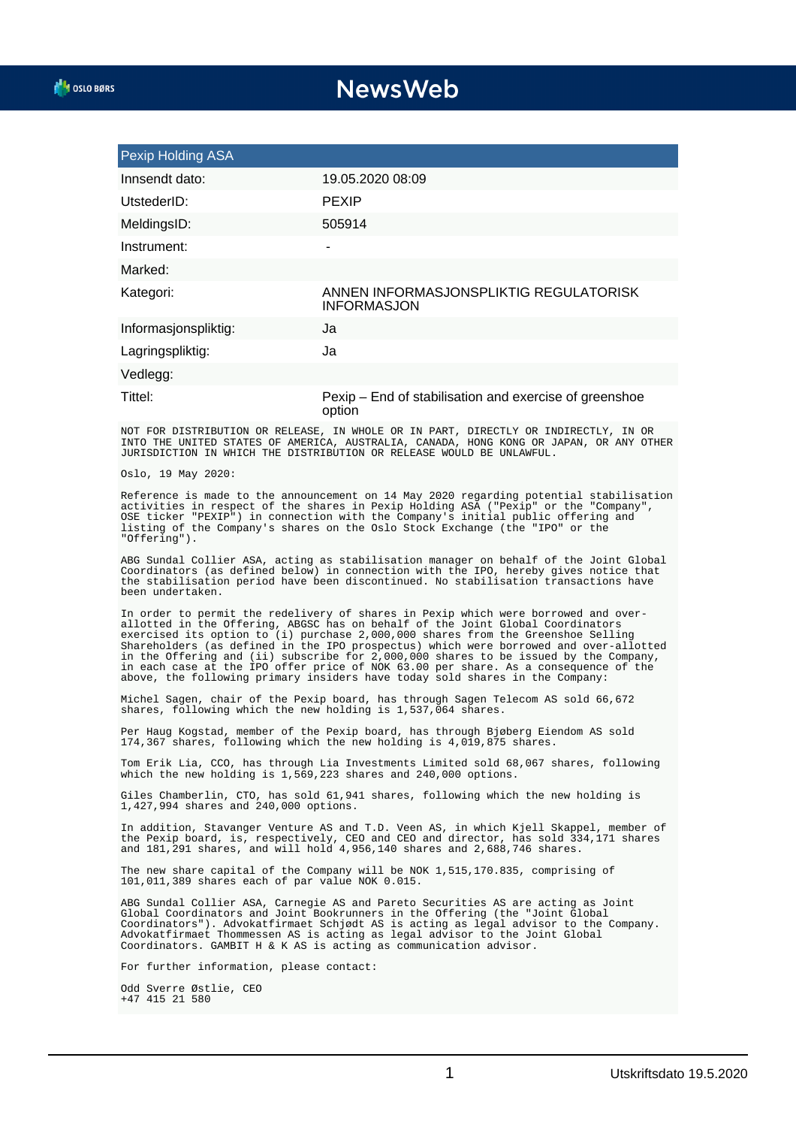## **NewsWeb**

| <b>Pexip Holding ASA</b> |                                                                  |
|--------------------------|------------------------------------------------------------------|
| Innsendt dato:           | 19.05.2020 08:09                                                 |
| UtstederID:              | <b>PEXIP</b>                                                     |
| MeldingsID:              | 505914                                                           |
| Instrument:              |                                                                  |
| Marked:                  |                                                                  |
| Kategori:                | ANNEN INFORMASJONSPLIKTIG REGULATORISK<br><b>INFORMASJON</b>     |
| Informasjonspliktig:     | Ja                                                               |
| Lagringspliktig:         | Ja                                                               |
| Vedlegg:                 |                                                                  |
| Tittel:                  | Pexip – End of stabilisation and exercise of greenshoe<br>option |

NOT FOR DISTRIBUTION OR RELEASE, IN WHOLE OR IN PART, DIRECTLY OR INDIRECTLY, IN OR INTO THE UNITED STATES OF AMERICA, AUSTRALIA, CANADA, HONG KONG OR JAPAN, OR ANY OTHER JURISDICTION IN WHICH THE DISTRIBUTION OR RELEASE WOULD BE UNLAWFUL.

Oslo, 19 May 2020:

Reference is made to the announcement on 14 May 2020 regarding potential stabilisation activities in respect of the shares in Pexip Holding ASA ("Pexip" or the "Company", OSE ticker "PEXIP") in connection with the Company's initial public offering and listing of the Company's shares on the Oslo Stock Exchange (the "IPO" or the "Offering").

ABG Sundal Collier ASA, acting as stabilisation manager on behalf of the Joint Global Coordinators (as defined below) in connection with the IPO, hereby gives notice that the stabilisation period have been discontinued. No stabilisation transactions have been undertaken.

In order to permit the redelivery of shares in Pexip which were borrowed and overallotted in the Offering, ABGSC has on behalf of the Joint Global Coordinators exercised its option to (i) purchase 2,000,000 shares from the Greenshoe Selling Shareholders (as defined in the IPO prospectus) which were borrowed and over-allotted in the Offering and (ii) subscribe for 2,000,000 shares to be issued by the Company, in each case at the IPO offer price of NOK 63.00 per share. As a consequence of the above, the following primary insiders have today sold shares in the Company:

Michel Sagen, chair of the Pexip board, has through Sagen Telecom AS sold 66,672 shares, following which the new holding is 1,537,064 shares.

Per Haug Kogstad, member of the Pexip board, has through Bjøberg Eiendom AS sold 174,367 shares, following which the new holding is 4,019,875 shares.

Tom Erik Lia, CCO, has through Lia Investments Limited sold 68,067 shares, following which the new holding is 1,569,223 shares and 240,000 options.

Giles Chamberlin, CTO, has sold 61,941 shares, following which the new holding is 1,427,994 shares and 240,000 options.

In addition, Stavanger Venture AS and T.D. Veen AS, in which Kjell Skappel, member of the Pexip board, is, respectively, CEO and CEO and director, has sold 334,171 shares and 181,291 shares, and will hold 4,956,140 shares and 2,688,746 shares.

The new share capital of the Company will be NOK 1,515,170.835, comprising of 101,011,389 shares each of par value NOK 0.015.

ABG Sundal Collier ASA, Carnegie AS and Pareto Securities AS are acting as Joint Global Coordinators and Joint Bookrunners in the Offering (the "Joint Global Coordinators"). Advokatfirmaet Schjødt AS is acting as legal advisor to the Company. Advokatfirmaet Thommessen AS is acting as legal advisor to the Joint Global Coordinators. GAMBIT H & K AS is acting as communication advisor.

For further information, please contact:

Odd Sverre Østlie, CEO +47 415 21 580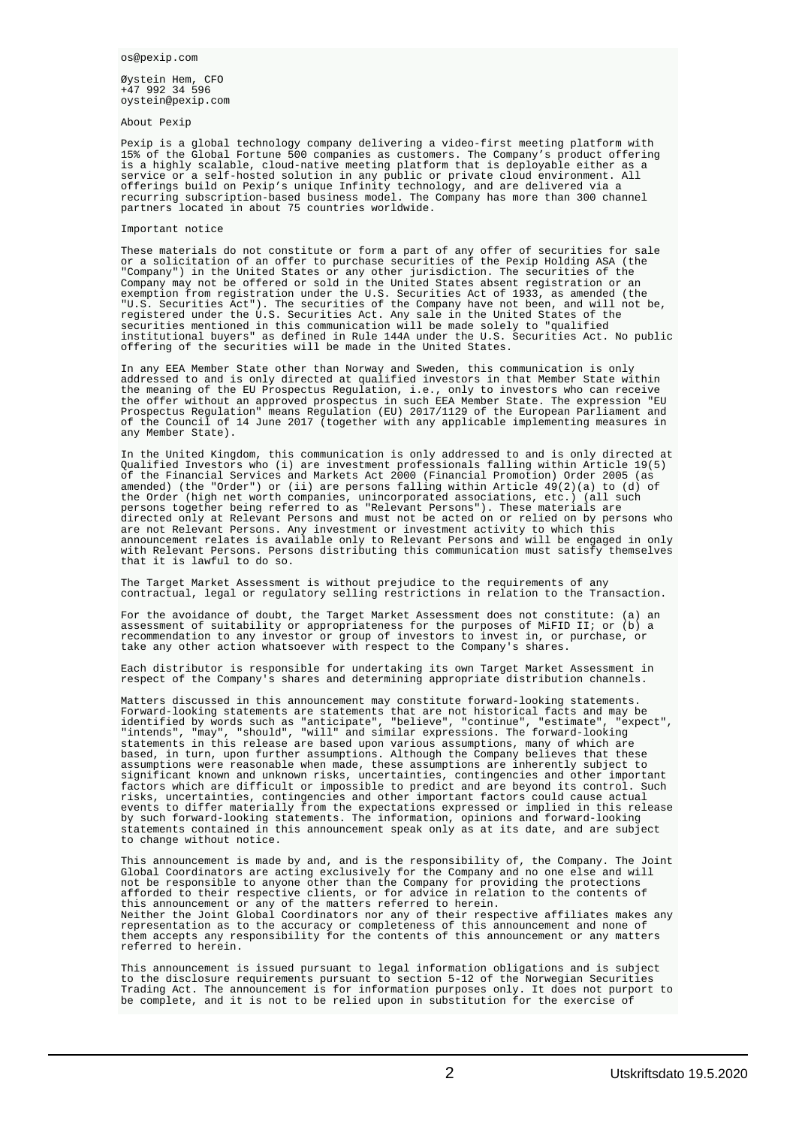Øystein Hem, CFO +47 992 34 596 oystein@pexip.com

About Pexip

Pexip is a global technology company delivering a video-first meeting platform with 15% of the Global Fortune 500 companies as customers. The Company's product offering is a highly scalable, cloud-native meeting platform that is deployable either as a service or a self-hosted solution in any public or private cloud environment. All offerings build on Pexip's unique Infinity technology, and are delivered via a recurring subscription-based business model. The Company has more than 300 channel partners located in about 75 countries worldwide.

## Important notice

These materials do not constitute or form a part of any offer of securities for sale or a solicitation of an offer to purchase securities of the Pexip Holding ASA (the "Company") in the United States or any other jurisdiction. The securities of the Company may not be offered or sold in the United States absent registration or an exemption from registration under the U.S. Securities Act of 1933, as amended (the "U.S. Securities Act"). The securities of the Company have not been, and will not be, registered under the U.S. Securities Act. Any sale in the United States of the securities mentioned in this communication will be made solely to "qualified institutional buyers" as defined in Rule 144A under the U.S. Securities Act. No public offering of the securities will be made in the United States.

In any EEA Member State other than Norway and Sweden, this communication is only addressed to and is only directed at qualified investors in that Member State within the meaning of the EU Prospectus Regulation, i.e., only to investors who can receive the offer without an approved prospectus in such EEA Member State. The expression "EU Prospectus Regulation" means Regulation (EU) 2017/1129 of the European Parliament and of the Council of 14 June 2017 (together with any applicable implementing measures in any Member State).

In the United Kingdom, this communication is only addressed to and is only directed at Qualified Investors who (i) are investment professionals falling within Article 19(5) of the Financial Services and Markets Act 2000 (Financial Promotion) Order 2005 (as amended) (the "Order") or (ii) are persons falling within Article 49(2)(a) to (d) of the Order (high net worth companies, unincorporated associations, etc.) (all such persons together being referred to as "Relevant Persons"). These materials are directed only at Relevant Persons and must not be acted on or relied on by persons who are not Relevant Persons. Any investment or investment activity to which this announcement relates is available only to Relevant Persons and will be engaged in only with Relevant Persons. Persons distributing this communication must satisfy themselves that it is lawful to do so.

The Target Market Assessment is without prejudice to the requirements of any contractual, legal or regulatory selling restrictions in relation to the Transaction.

For the avoidance of doubt, the Target Market Assessment does not constitute: (a) an assessment of suitability or appropriateness for the purposes of MiFID II; or (b) a recommendation to any investor or group of investors to invest in, or purchase, or take any other action whatsoever with respect to the Company's shares.

Each distributor is responsible for undertaking its own Target Market Assessment in respect of the Company's shares and determining appropriate distribution channels.

Matters discussed in this announcement may constitute forward-looking statements. Forward-looking statements are statements that are not historical facts and may be identified by words such as "anticipate", "believe", "continue", "estimate", "expect", "intends", "may", "should", "will" and similar expressions. The forward-looking statements in this release are based upon various assumptions, many of which are based, in turn, upon further assumptions. Although the Company believes that these assumptions were reasonable when made, these assumptions are inherently subject to significant known and unknown risks, uncertainties, contingencies and other important factors which are difficult or impossible to predict and are beyond its control. Such risks, uncertainties, contingencies and other important factors could cause actual events to differ materially from the expectations expressed or implied in this release by such forward-looking statements. The information, opinions and forward-looking statements contained in this announcement speak only as at its date, and are subject to change without notice.

This announcement is made by and, and is the responsibility of, the Company. The Joint Global Coordinators are acting exclusively for the Company and no one else and will not be responsible to anyone other than the Company for providing the protections afforded to their respective clients, or for advice in relation to the contents of this announcement or any of the matters referred to herein. Neither the Joint Global Coordinators nor any of their respective affiliates makes any representation as to the accuracy or completeness of this announcement and none of them accepts any responsibility for the contents of this announcement or any matters referred to herein.

This announcement is issued pursuant to legal information obligations and is subject to the disclosure requirements pursuant to section 5-12 of the Norwegian Securities Trading Act. The announcement is for information purposes only. It does not purport to be complete, and it is not to be relied upon in substitution for the exercise of